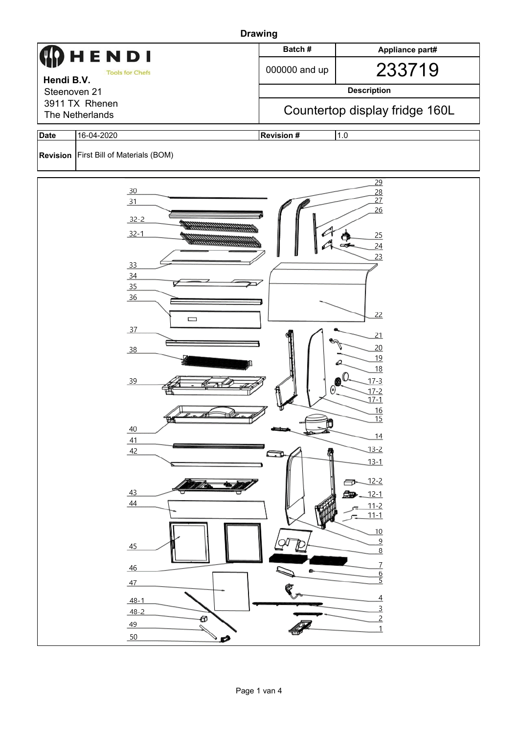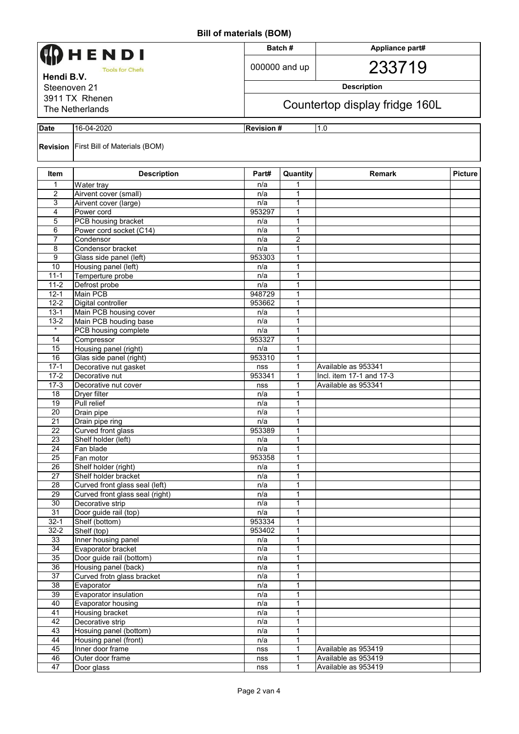|                                    |                                               |            | Batch#                         | Appliance part#          |                |  |  |  |
|------------------------------------|-----------------------------------------------|------------|--------------------------------|--------------------------|----------------|--|--|--|
| HENDI                              |                                               |            |                                |                          |                |  |  |  |
| <b>Tools for Chefs</b>             |                                               |            | 000000 and up                  | 233719                   |                |  |  |  |
| Hendi B.V.                         |                                               |            |                                | <b>Description</b>       |                |  |  |  |
| Steenoven 21<br>3911 TX Rhenen     |                                               |            |                                |                          |                |  |  |  |
| The Netherlands                    |                                               |            | Countertop display fridge 160L |                          |                |  |  |  |
|                                    |                                               |            |                                |                          |                |  |  |  |
| <b>Date</b>                        | <b>Revision#</b><br>16-04-2020<br>1.0         |            |                                |                          |                |  |  |  |
|                                    | <b>Revision</b> First Bill of Materials (BOM) |            |                                |                          |                |  |  |  |
| Item                               | <b>Description</b>                            | Part#      | Quantity                       | <b>Remark</b>            | <b>Picture</b> |  |  |  |
| 1                                  | Water tray                                    | n/a        | 1                              |                          |                |  |  |  |
| 2                                  | Airvent cover (small)                         | n/a        | 1                              |                          |                |  |  |  |
| 3                                  | Airvent cover (large)                         | n/a        | $\mathbf 1$                    |                          |                |  |  |  |
| 4                                  | Power cord                                    | 953297     | 1                              |                          |                |  |  |  |
| 5                                  | PCB housing bracket                           | n/a        | 1                              |                          |                |  |  |  |
| 6                                  | Power cord socket (C14)                       | n/a        | 1                              |                          |                |  |  |  |
| $\overline{7}$                     | Condensor                                     | n/a        | $\overline{c}$                 |                          |                |  |  |  |
| 8                                  | Condensor bracket                             | n/a        | $\mathbf 1$                    |                          |                |  |  |  |
| 9<br>10                            | Glass side panel (left)                       | 953303     | 1                              |                          |                |  |  |  |
| $11 - 1$                           | Housing panel (left)                          | n/a        | 1<br>1                         |                          |                |  |  |  |
| $11 - 2$                           | Temperture probe<br>Defrost probe             | n/a<br>n/a | 1                              |                          |                |  |  |  |
| $12 - 1$                           | <b>Main PCB</b>                               | 948729     | 1                              |                          |                |  |  |  |
| $12 - 2$                           | Digital controller                            | 953662     | 1                              |                          |                |  |  |  |
| $13 - 1$                           | Main PCB housing cover                        | n/a        | 1                              |                          |                |  |  |  |
| $13 - 2$                           | Main PCB houding base                         | n/a        | 1                              |                          |                |  |  |  |
|                                    | PCB housing complete                          | n/a        | 1                              |                          |                |  |  |  |
| 14                                 | Compressor                                    | 953327     | 1                              |                          |                |  |  |  |
| 15                                 | Housing panel (right)                         | n/a        | $\mathbf{1}$                   |                          |                |  |  |  |
| 16                                 | Glas side panel (right)                       | 953310     | 1                              |                          |                |  |  |  |
| $17-1$                             | Decorative nut gasket                         | nss        | 1                              | Available as 953341      |                |  |  |  |
| $17-2$                             | Decorative nut                                | 953341     | 1                              | Incl. item 17-1 and 17-3 |                |  |  |  |
| $17-3$                             | Decorative nut cover                          | nss        | $\mathbf{1}$                   | Available as 953341      |                |  |  |  |
| 18                                 | Dryer filter                                  | n/a        | 1                              |                          |                |  |  |  |
| 19                                 | Pull relief                                   | n/a        | 1                              |                          |                |  |  |  |
| 20                                 | Drain pipe                                    | n/a        | 1                              |                          |                |  |  |  |
| 21                                 | Drain pipe ring                               | n/a        | 1                              |                          |                |  |  |  |
| 22                                 | Curved front glass                            | 953389     | 1                              |                          |                |  |  |  |
| 23                                 | Shelf holder (left)                           | n/a        | 1                              |                          |                |  |  |  |
| $\overline{24}$                    | Fan blade                                     | n/a        | 1                              |                          |                |  |  |  |
| $\overline{25}$                    | Fan motor                                     | 953358     | 1                              |                          |                |  |  |  |
| $\overline{26}$<br>$\overline{27}$ | Shelf holder (right)<br>Shelf holder bracket  | n/a        | 1<br>1                         |                          |                |  |  |  |
| 28                                 | Curved front glass seal (left)                | n/a<br>n/a | $\mathbf{1}$                   |                          |                |  |  |  |
| 29                                 | Curved front glass seal (right)               | n/a        | 1                              |                          |                |  |  |  |
| 30                                 | Decorative strip                              | n/a        | 1                              |                          |                |  |  |  |
| 31                                 | Door guide rail (top)                         | n/a        | 1                              |                          |                |  |  |  |
| $32 - 1$                           | Shelf (bottom)                                | 953334     | $\mathbf{1}$                   |                          |                |  |  |  |
| $32 - 2$                           | Shelf (top)                                   | 953402     | $\mathbf{1}$                   |                          |                |  |  |  |
| 33                                 | Inner housing panel                           | n/a        | 1                              |                          |                |  |  |  |
| 34                                 | Evaporator bracket                            | n/a        | 1                              |                          |                |  |  |  |
| 35                                 | Door guide rail (bottom)                      | n/a        | $\mathbf{1}$                   |                          |                |  |  |  |
| 36                                 | Housing panel (back)                          | n/a        | 1                              |                          |                |  |  |  |
| 37                                 | Curved frotn glass bracket                    | n/a        | 1                              |                          |                |  |  |  |
| 38                                 | Evaporator                                    | n/a        | $\mathbf{1}$                   |                          |                |  |  |  |
| 39                                 | <b>Evaporator insulation</b>                  | n/a        | $\mathbf{1}$                   |                          |                |  |  |  |
| 40                                 | <b>Evaporator housing</b>                     | n/a        | 1                              |                          |                |  |  |  |
| 41                                 | Housing bracket                               | n/a        | 1                              |                          |                |  |  |  |
| 42                                 | Decorative strip                              | n/a        | $\mathbf{1}$                   |                          |                |  |  |  |
| 43                                 | Hosuing panel (bottom)                        | n/a        | 1                              |                          |                |  |  |  |
| 44                                 | Housing panel (front)                         | n/a        | 1                              |                          |                |  |  |  |
| 45                                 | Inner door frame                              | nss        | 1                              | Available as 953419      |                |  |  |  |
| 46                                 | Outer door frame                              | nss        | $\mathbf{1}$                   | Available as 953419      |                |  |  |  |
| 47                                 | Door glass                                    | nss        | $\mathbf{1}$                   | Available as 953419      |                |  |  |  |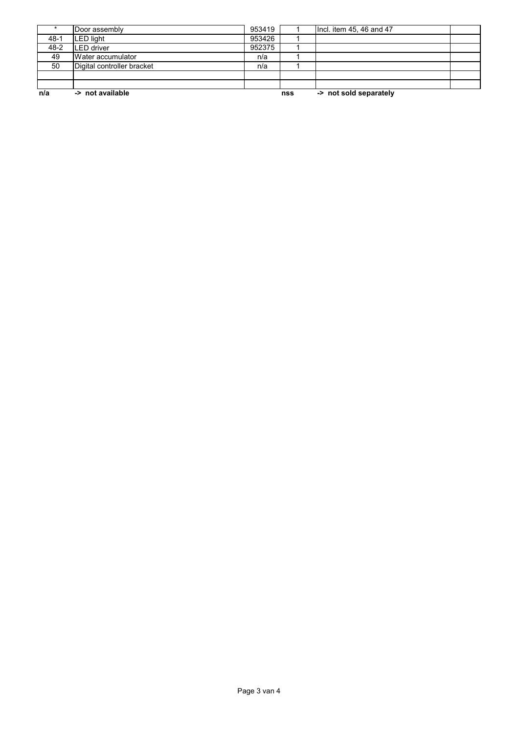| Digital controller bracket | n/a                                |                          |  |
|----------------------------|------------------------------------|--------------------------|--|
|                            | n/a                                |                          |  |
|                            | 952375                             |                          |  |
|                            | 953426                             |                          |  |
|                            | 953419                             | Incl. item 45, 46 and 47 |  |
|                            | Door assembly<br>Water accumulator |                          |  |